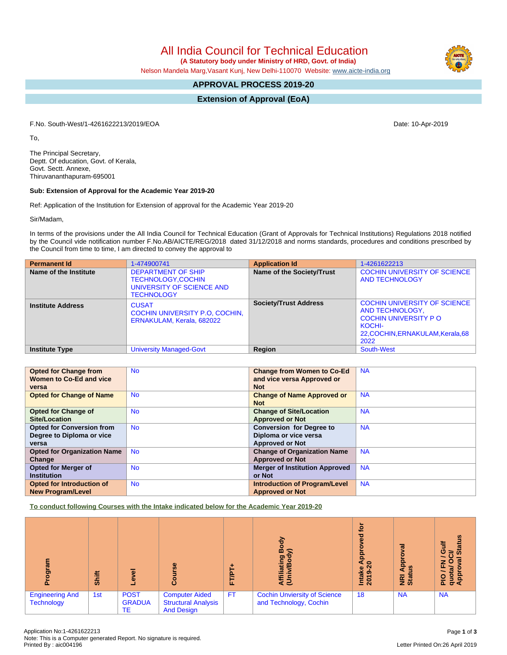All India Council for Technical Education

 **(A Statutory body under Ministry of HRD, Govt. of India)**

Nelson Mandela Marg,Vasant Kunj, New Delhi-110070 Website: [www.aicte-india.org](http://www.aicte-india.org)

# **APPROVAL PROCESS 2019-20**

**Extension of Approval (EoA)**

F.No. South-West/1-4261622213/2019/EOA Date: 10-Apr-2019

To,

The Principal Secretary, Deptt. Of education, Govt. of Kerala, Govt. Sectt. Annexe, Thiruvananthapuram-695001

## **Sub: Extension of Approval for the Academic Year 2019-20**

Ref: Application of the Institution for Extension of approval for the Academic Year 2019-20

Sir/Madam,

In terms of the provisions under the All India Council for Technical Education (Grant of Approvals for Technical Institutions) Regulations 2018 notified by the Council vide notification number F.No.AB/AICTE/REG/2018 dated 31/12/2018 and norms standards, procedures and conditions prescribed by the Council from time to time, I am directed to convey the approval to

| <b>Permanent Id</b>      | 1-474900741                                                                                             | <b>Application Id</b>        | 1-4261622213                                                                                                                                 |
|--------------------------|---------------------------------------------------------------------------------------------------------|------------------------------|----------------------------------------------------------------------------------------------------------------------------------------------|
| Name of the Institute    | <b>DEPARTMENT OF SHIP</b><br><b>TECHNOLOGY,COCHIN</b><br>UNIVERSITY OF SCIENCE AND<br><b>TECHNOLOGY</b> | Name of the Society/Trust    | <b>COCHIN UNIVERSITY OF SCIENCE</b><br><b>AND TECHNOLOGY</b>                                                                                 |
| <b>Institute Address</b> | <b>CUSAT</b><br>COCHIN UNIVERSITY P.O. COCHIN.<br>ERNAKULAM, Kerala, 682022                             | <b>Society/Trust Address</b> | <b>COCHIN UNIVERSITY OF SCIENCE</b><br>AND TECHNOLOGY,<br><b>COCHIN UNIVERSITY PO</b><br>KOCHI-<br>22, COCHIN, ERNAKULAM, Kerala, 68<br>2022 |
| <b>Institute Type</b>    | <b>University Managed-Govt</b>                                                                          | <b>Region</b>                | South-West                                                                                                                                   |

| <b>Opted for Change from</b>       | <b>No</b> | <b>Change from Women to Co-Ed</b>     | <b>NA</b> |
|------------------------------------|-----------|---------------------------------------|-----------|
| Women to Co-Ed and vice            |           | and vice versa Approved or            |           |
| versa                              |           | <b>Not</b>                            |           |
| <b>Opted for Change of Name</b>    | <b>No</b> | <b>Change of Name Approved or</b>     | <b>NA</b> |
|                                    |           | <b>Not</b>                            |           |
| <b>Opted for Change of</b>         | <b>No</b> | <b>Change of Site/Location</b>        | <b>NA</b> |
| Site/Location                      |           | <b>Approved or Not</b>                |           |
| <b>Opted for Conversion from</b>   | <b>No</b> | <b>Conversion for Degree to</b>       | <b>NA</b> |
| Degree to Diploma or vice          |           | Diploma or vice versa                 |           |
| versa                              |           | <b>Approved or Not</b>                |           |
| <b>Opted for Organization Name</b> | <b>No</b> | <b>Change of Organization Name</b>    | <b>NA</b> |
| Change                             |           | <b>Approved or Not</b>                |           |
| <b>Opted for Merger of</b>         | <b>No</b> | <b>Merger of Institution Approved</b> | <b>NA</b> |
| <b>Institution</b>                 |           | or Not                                |           |
| Opted for Introduction of          | <b>No</b> | <b>Introduction of Program/Level</b>  | <b>NA</b> |
| <b>New Program/Level</b>           |           | <b>Approved or Not</b>                |           |

**To conduct following Courses with the Intake indicated below for the Academic Year 2019-20**

| క్టా                                        | Shift | g<br>٥                             | rse<br>ပ္ပြ                                                              | ш.        | 융<br>å<br>lating<br>ξΞ                                        | ē<br>ъ<br>$\omega$<br>윤<br>$\circ$<br>Intake<br>2019-2 | ಸ<br>٥<br>$\Omega$<br>흐<br>⑨<br>Œ<br><b>E</b> ät | <b>Status</b><br>5<br>Ō<br>≃<br>$\circ$<br>z<br>ш.<br>π<br>운용 |
|---------------------------------------------|-------|------------------------------------|--------------------------------------------------------------------------|-----------|---------------------------------------------------------------|--------------------------------------------------------|--------------------------------------------------|---------------------------------------------------------------|
| <b>Engineering And</b><br><b>Technology</b> | 1st   | <b>POST</b><br><b>GRADUA</b><br>ТE | <b>Computer Aided</b><br><b>Structural Analysis</b><br><b>And Design</b> | <b>FT</b> | <b>Cochin Unviersity of Science</b><br>and Technology, Cochin | 18                                                     | <b>NA</b>                                        | <b>NA</b>                                                     |